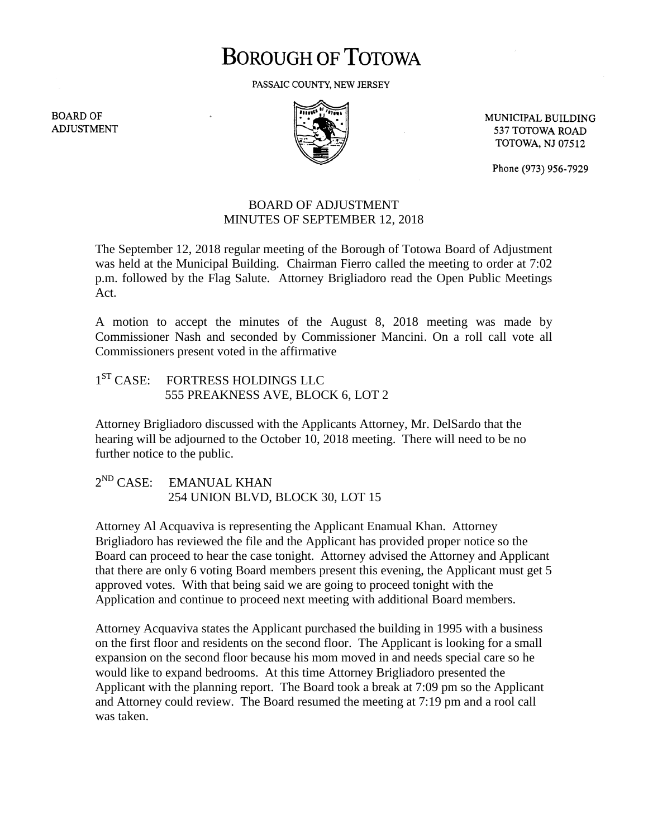# **BOROUGH OF TOTOWA**

PASSAIC COUNTY, NEW JERSEY

**BOARD OF ADJUSTMENT** 



MUNICIPAL BUILDING 537 TOTOWA ROAD **TOTOWA, NJ 07512** 

Phone (973) 956-7929

#### BOARD OF ADJUSTMENT MINUTES OF SEPTEMBER 12, 2018

The September 12, 2018 regular meeting of the Borough of Totowa Board of Adjustment was held at the Municipal Building. Chairman Fierro called the meeting to order at 7:02 p.m. followed by the Flag Salute. Attorney Brigliadoro read the Open Public Meetings Act.

A motion to accept the minutes of the August 8, 2018 meeting was made by Commissioner Nash and seconded by Commissioner Mancini. On a roll call vote all Commissioners present voted in the affirmative

## 1<sup>ST</sup> CASE: FORTRESS HOLDINGS LLC 555 PREAKNESS AVE, BLOCK 6, LOT 2

Attorney Brigliadoro discussed with the Applicants Attorney, Mr. DelSardo that the hearing will be adjourned to the October 10, 2018 meeting. There will need to be no further notice to the public.

2<sup>ND</sup> CASE: EMANUAL KHAN 254 UNION BLVD, BLOCK 30, LOT 15

Attorney Al Acquaviva is representing the Applicant Enamual Khan. Attorney Brigliadoro has reviewed the file and the Applicant has provided proper notice so the Board can proceed to hear the case tonight. Attorney advised the Attorney and Applicant that there are only 6 voting Board members present this evening, the Applicant must get 5 approved votes. With that being said we are going to proceed tonight with the Application and continue to proceed next meeting with additional Board members.

Attorney Acquaviva states the Applicant purchased the building in 1995 with a business on the first floor and residents on the second floor. The Applicant is looking for a small expansion on the second floor because his mom moved in and needs special care so he would like to expand bedrooms. At this time Attorney Brigliadoro presented the Applicant with the planning report. The Board took a break at 7:09 pm so the Applicant and Attorney could review. The Board resumed the meeting at 7:19 pm and a rool call was taken.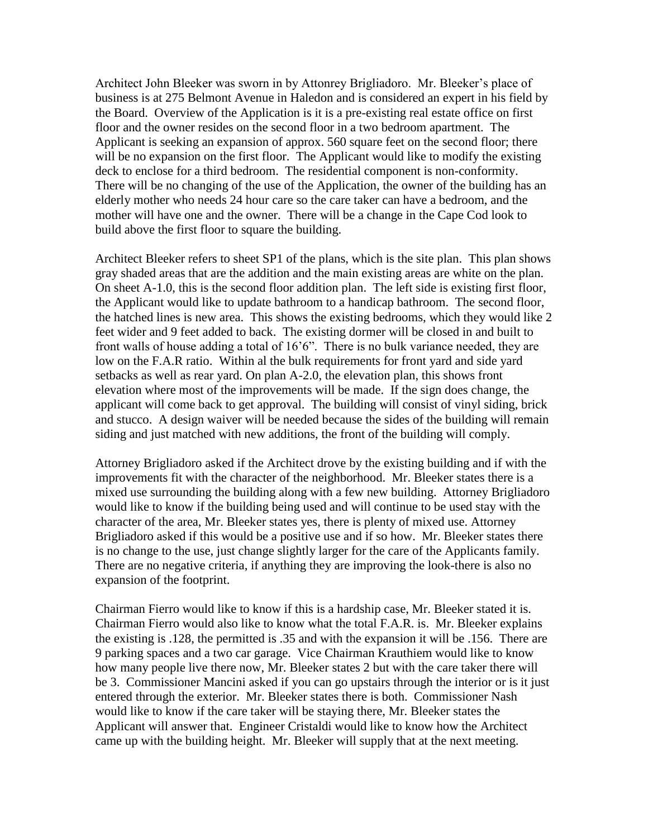Architect John Bleeker was sworn in by Attonrey Brigliadoro. Mr. Bleeker's place of business is at 275 Belmont Avenue in Haledon and is considered an expert in his field by the Board. Overview of the Application is it is a pre-existing real estate office on first floor and the owner resides on the second floor in a two bedroom apartment. The Applicant is seeking an expansion of approx. 560 square feet on the second floor; there will be no expansion on the first floor. The Applicant would like to modify the existing deck to enclose for a third bedroom. The residential component is non-conformity. There will be no changing of the use of the Application, the owner of the building has an elderly mother who needs 24 hour care so the care taker can have a bedroom, and the mother will have one and the owner. There will be a change in the Cape Cod look to build above the first floor to square the building.

Architect Bleeker refers to sheet SP1 of the plans, which is the site plan. This plan shows gray shaded areas that are the addition and the main existing areas are white on the plan. On sheet A-1.0, this is the second floor addition plan. The left side is existing first floor, the Applicant would like to update bathroom to a handicap bathroom. The second floor, the hatched lines is new area. This shows the existing bedrooms, which they would like 2 feet wider and 9 feet added to back. The existing dormer will be closed in and built to front walls of house adding a total of 16'6". There is no bulk variance needed, they are low on the F.A.R ratio. Within al the bulk requirements for front yard and side yard setbacks as well as rear yard. On plan A-2.0, the elevation plan, this shows front elevation where most of the improvements will be made. If the sign does change, the applicant will come back to get approval. The building will consist of vinyl siding, brick and stucco. A design waiver will be needed because the sides of the building will remain siding and just matched with new additions, the front of the building will comply.

Attorney Brigliadoro asked if the Architect drove by the existing building and if with the improvements fit with the character of the neighborhood. Mr. Bleeker states there is a mixed use surrounding the building along with a few new building. Attorney Brigliadoro would like to know if the building being used and will continue to be used stay with the character of the area, Mr. Bleeker states yes, there is plenty of mixed use. Attorney Brigliadoro asked if this would be a positive use and if so how. Mr. Bleeker states there is no change to the use, just change slightly larger for the care of the Applicants family. There are no negative criteria, if anything they are improving the look-there is also no expansion of the footprint.

Chairman Fierro would like to know if this is a hardship case, Mr. Bleeker stated it is. Chairman Fierro would also like to know what the total F.A.R. is. Mr. Bleeker explains the existing is .128, the permitted is .35 and with the expansion it will be .156. There are 9 parking spaces and a two car garage. Vice Chairman Krauthiem would like to know how many people live there now, Mr. Bleeker states 2 but with the care taker there will be 3. Commissioner Mancini asked if you can go upstairs through the interior or is it just entered through the exterior. Mr. Bleeker states there is both. Commissioner Nash would like to know if the care taker will be staying there, Mr. Bleeker states the Applicant will answer that. Engineer Cristaldi would like to know how the Architect came up with the building height. Mr. Bleeker will supply that at the next meeting.